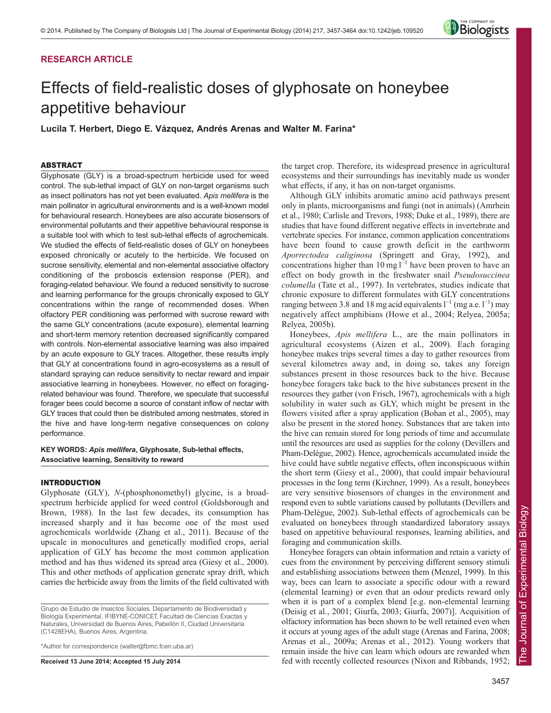# **RESEARCH ARTICLE**



# Effects of field-realistic doses of glyphosate on honeybee appetitive behaviour

**Lucila T. Herbert, Diego E. Vázquez, Andrés Arenas and Walter M. Farina\***

## ABSTRACT

Glyphosate (GLY) is a broad-spectrum herbicide used for weed control. The sub-lethal impact of GLY on non-target organisms such as insect pollinators has not yet been evaluated. *Apis mellifera* is the main pollinator in agricultural environments and is a well-known model for behavioural research. Honeybees are also accurate biosensors of environmental pollutants and their appetitive behavioural response is a suitable tool with which to test sub-lethal effects of agrochemicals. We studied the effects of field-realistic doses of GLY on honeybees exposed chronically or acutely to the herbicide. We focused on sucrose sensitivity, elemental and non-elemental associative olfactory conditioning of the proboscis extension response (PER), and foraging-related behaviour. We found a reduced sensitivity to sucrose and learning performance for the groups chronically exposed to GLY concentrations within the range of recommended doses. When olfactory PER conditioning was performed with sucrose reward with the same GLY concentrations (acute exposure), elemental learning and short-term memory retention decreased significantly compared with controls. Non-elemental associative learning was also impaired by an acute exposure to GLY traces. Altogether, these results imply that GLY at concentrations found in agro-ecosystems as a result of standard spraying can reduce sensitivity to nectar reward and impair associative learning in honeybees. However, no effect on foragingrelated behaviour was found. Therefore, we speculate that successful forager bees could become a source of constant inflow of nectar with GLY traces that could then be distributed among nestmates, stored in the hive and have long-term negative consequences on colony performance.

# **KEY WORDS:** *Apis mellifera***, Glyphosate, Sub-lethal effects, Associative learning, Sensitivity to reward**

## INTRODUCTION

Glyphosate (GLY), *N*-(phosphonomethyl) glycine, is a broadspectrum herbicide applied for weed control (Goldsborough and Brown, 1988). In the last few decades, its consumption has increased sharply and it has become one of the most used agrochemicals worldwide (Zhang et al., 2011). Because of the upscale in monocultures and genetically modified crops, aerial application of GLY has become the most common application method and has thus widened its spread area (Giesy et al., 2000). This and other methods of application generate spray drift, which carries the herbicide away from the limits of the field cultivated with

\*Author for correspondence (walter@fbmc.fcen.uba.ar)

**Received 13 June 2014; Accepted 15 July 2014**

the target crop. Therefore, its widespread presence in agricultural ecosystems and their surroundings has inevitably made us wonder what effects, if any, it has on non-target organisms.

Although GLY inhibits aromatic amino acid pathways present only in plants, microorganisms and fungi (not in animals) (Amrhein et al., 1980; Carlisle and Trevors, 1988; Duke et al., 1989), there are studies that have found different negative effects in invertebrate and vertebrate species. For instance, common application concentrations have been found to cause growth deficit in the earthworm *Aporrectodea caliginosa* (Springett and Gray, 1992), and concentrations higher than 10 mg  $1^{-1}$  have been proven to have an effect on body growth in the freshwater snail *Pseudosuccinea columella* (Tate et al., 1997). In vertebrates, studies indicate that chronic exposure to different formulates with GLY concentrations ranging between 3.8 and 18 mg acid equivalents  $l^{-1}$  (mg a.e.  $l^{-1}$ ) may negatively affect amphibians (Howe et al., 2004; Relyea, 2005a; Relyea, 2005b).

Honeybees, *Apis mellifera* L., are the main pollinators in agricultural ecosystems (Aizen et al., 2009). Each foraging honeybee makes trips several times a day to gather resources from several kilometres away and, in doing so, takes any foreign substances present in those resources back to the hive. Because honeybee foragers take back to the hive substances present in the resources they gather (von Frisch, 1967), agrochemicals with a high solubility in water such as GLY, which might be present in the flowers visited after a spray application (Bohan et al., 2005), may also be present in the stored honey. Substances that are taken into the hive can remain stored for long periods of time and accumulate until the resources are used as supplies for the colony (Devillers and Pham-Delègue, 2002). Hence, agrochemicals accumulated inside the hive could have subtle negative effects, often inconspicuous within the short term (Giesy et al., 2000), that could impair behavioural processes in the long term (Kirchner, 1999). As a result, honeybees are very sensitive biosensors of changes in the environment and respond even to subtle variations caused by pollutants (Devillers and Pham-Delègue, 2002). Sub-lethal effects of agrochemicals can be evaluated on honeybees through standardized laboratory assays based on appetitive behavioural responses, learning abilities, and foraging and communication skills.

Honeybee foragers can obtain information and retain a variety of cues from the environment by perceiving different sensory stimuli and establishing associations between them (Menzel, 1999). In this way, bees can learn to associate a specific odour with a reward (elemental learning) or even that an odour predicts reward only when it is part of a complex blend [e.g. non-elemental learning (Deisig et al., 2001; Giurfa, 2003; Giurfa, 2007)]. Acquisition of olfactory information has been shown to be well retained even when it occurs at young ages of the adult stage (Arenas and Farina, 2008; Arenas et al., 2009a; Arenas et al., 2012). Young workers that remain inside the hive can learn which odours are rewarded when fed with recently collected resources (Nixon and Ribbands, 1952;

Grupo de Estudio de Insectos Sociales. Departamento de Biodiversidad y Biología Experimental, IFIBYNE-CONICET, Facultad de Ciencias Exactas y Naturales, Universidad de Buenos Aires, Pabellón II, Ciudad Universitaria (C1428EHA), Buenos Aires, Argentina.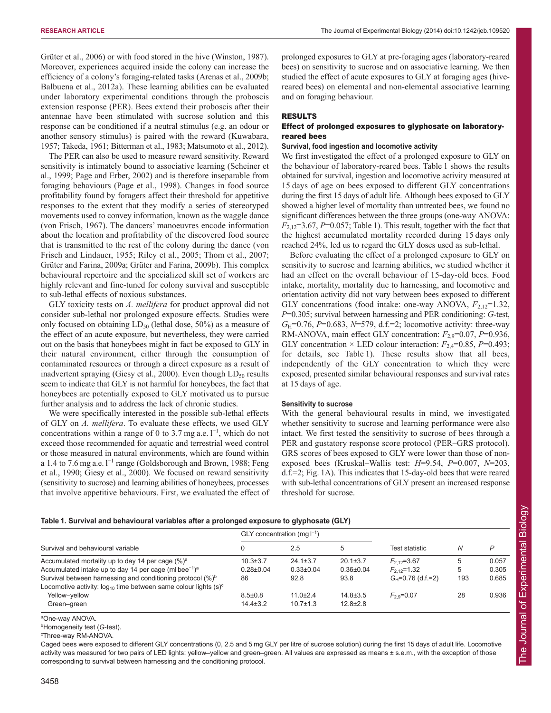Grüter et al., 2006) or with food stored in the hive (Winston, 1987). Moreover, experiences acquired inside the colony can increase the efficiency of a colony's foraging-related tasks (Arenas et al., 2009b; Balbuena et al., 2012a). These learning abilities can be evaluated under laboratory experimental conditions through the proboscis extension response (PER). Bees extend their proboscis after their antennae have been stimulated with sucrose solution and this response can be conditioned if a neutral stimulus (e.g. an odour or another sensory stimulus) is paired with the reward (Kuwabara, 1957; Takeda, 1961; Bitterman et al., 1983; Matsumoto et al., 2012).

The PER can also be used to measure reward sensitivity. Reward sensitivity is intimately bound to associative learning (Scheiner et al., 1999; Page and Erber, 2002) and is therefore inseparable from foraging behaviours (Page et al., 1998). Changes in food source profitability found by foragers affect their threshold for appetitive responses to the extent that they modify a series of stereotyped movements used to convey information, known as the waggle dance (von Frisch, 1967). The dancers' manoeuvres encode information about the location and profitability of the discovered food source that is transmitted to the rest of the colony during the dance (von Frisch and Lindauer, 1955; Riley et al., 2005; Thom et al., 2007; Grüter and Farina, 2009a; Grüter and Farina, 2009b). This complex behavioural repertoire and the specialized skill set of workers are highly relevant and fine-tuned for colony survival and susceptible to sub-lethal effects of noxious substances.

GLY toxicity tests on *A. mellifera* for product approval did not consider sub-lethal nor prolonged exposure effects. Studies were only focused on obtaining  $LD_{50}$  (lethal dose, 50%) as a measure of the effect of an acute exposure, but nevertheless, they were carried out on the basis that honeybees might in fact be exposed to GLY in their natural environment, either through the consumption of contaminated resources or through a direct exposure as a result of inadvertent spraying (Giesy et al., 2000). Even though  $LD_{50}$  results seem to indicate that GLY is not harmful for honeybees, the fact that honeybees are potentially exposed to GLY motivated us to pursue further analysis and to address the lack of chronic studies.

We were specifically interested in the possible sub-lethal effects of GLY on *A. mellifera*. To evaluate these effects, we used GLY concentrations within a range of 0 to 3.7 mg a.e.  $l^{-1}$ , which do not exceed those recommended for aquatic and terrestrial weed control or those measured in natural environments, which are found within a 1.4 to 7.6 mg a.e.  $l^{-1}$  range (Goldsborough and Brown, 1988; Feng et al., 1990; Giesy et al., 2000). We focused on reward sensitivity (sensitivity to sucrose) and learning abilities of honeybees, processes that involve appetitive behaviours. First, we evaluated the effect of prolonged exposures to GLY at pre-foraging ages (laboratory-reared bees) on sensitivity to sucrose and on associative learning. We then studied the effect of acute exposures to GLY at foraging ages (hivereared bees) on elemental and non-elemental associative learning and on foraging behaviour.

## RESULTS

## Effect of prolonged exposures to glyphosate on laboratoryreared bees

## **Survival, food ingestion and locomotive activity**

We first investigated the effect of a prolonged exposure to GLY on the behaviour of laboratory-reared bees. Table 1 shows the results obtained for survival, ingestion and locomotive activity measured at 15 days of age on bees exposed to different GLY concentrations during the first 15 days of adult life. Although bees exposed to GLY showed a higher level of mortality than untreated bees, we found no significant differences between the three groups (one-way ANOVA:  $F_{2,12}=3.67$ , *P*=0.057; Table 1). This result, together with the fact that the highest accumulated mortality recorded during 15 days only reached 24%, led us to regard the GLY doses used as sub-lethal.

Before evaluating the effect of a prolonged exposure to GLY on sensitivity to sucrose and learning abilities, we studied whether it had an effect on the overall behaviour of 15-day-old bees. Food intake, mortality, mortality due to harnessing, and locomotive and orientation activity did not vary between bees exposed to different GLY concentrations (food intake: one-way ANOVA,  $F_{2,12}=1.32$ , *P*=0.305; survival between harnessing and PER conditioning: *G*-test, *G*<sub>H</sub>=0.76, *P*=0.683, *N*=579, d.f.=2; locomotive activity: three-way RM-ANOVA, main effect GLY concentration: *F*2,9=0.07, *P*=0.936, GLY concentration  $\times$  LED colour interaction:  $F_{2,4}=0.85$ ,  $P=0.493$ ; for details, see Table 1). These results show that all bees, independently of the GLY concentration to which they were exposed, presented similar behavioural responses and survival rates at 15 days of age.

#### **Sensitivity to sucrose**

With the general behavioural results in mind, we investigated whether sensitivity to sucrose and learning performance were also intact. We first tested the sensitivity to sucrose of bees through a PER and gustatory response score protocol (PER–GRS protocol). GRS scores of bees exposed to GLY were lower than those of nonexposed bees (Kruskal–Wallis test: *H*=9.54, *P*=0.007, *N*=203, d.f.=2; Fig. 1A). This indicates that 15-day-old bees that were reared with sub-lethal concentrations of GLY present an increased response threshold for sucrose.

## **Table 1. Survival and behavioural variables after a prolonged exposure to glyphosate (GLY)**

| Survival and behavioural variable                                                                                                                                                                                                                                                              | GLY concentration (mg $I^{-1}$ )    |                                           |                                           |                                                                |               |                         |
|------------------------------------------------------------------------------------------------------------------------------------------------------------------------------------------------------------------------------------------------------------------------------------------------|-------------------------------------|-------------------------------------------|-------------------------------------------|----------------------------------------------------------------|---------------|-------------------------|
|                                                                                                                                                                                                                                                                                                |                                     | 2.5                                       | 5                                         | Test statistic                                                 |               | P                       |
| Accumulated mortality up to day 14 per cage (%) <sup>a</sup><br>Accumulated intake up to day 14 per cage (ml bee <sup>-1)a</sup><br>Survival between harnessing and conditioning protocol (%) <sup>b</sup><br>Locomotive activity: $log_{10}$ time between same colour lights (s) <sup>c</sup> | $10.3 + 3.7$<br>$0.28 + 0.04$<br>86 | $24.1 \pm 3.7$<br>$0.33 \pm 0.04$<br>92.8 | $20.1 \pm 3.7$<br>$0.36 \pm 0.04$<br>93.8 | $F_{2,12} = 3.67$<br>$F_{2,12}$ =1.32<br>$G_H = 0.76$ (d.f.=2) | 5<br>5<br>193 | 0.057<br>0.305<br>0.685 |
| Yellow-yellow<br>Green-green                                                                                                                                                                                                                                                                   | $8.5 \pm 0.8$<br>$14.4 \pm 3.2$     | $11.0+2.4$<br>$10.7 \pm 1.3$              | $14.8 \pm 3.5$<br>$12.8 \pm 2.8$          | $F_{29} = 0.07$                                                | 28            | 0.936                   |

aOne-way ANOVA.

b Homogeneity test (*G*-test).

c Three-way RM-ANOVA.

Caged bees were exposed to different GLY concentrations (0, 2.5 and 5 mg GLY per litre of sucrose solution) during the first 15 days of adult life. Locomotive activity was measured for two pairs of LED lights: yellow–yellow and green–green. All values are expressed as means ± s.e.m., with the exception of those corresponding to survival between harnessing and the conditioning protocol.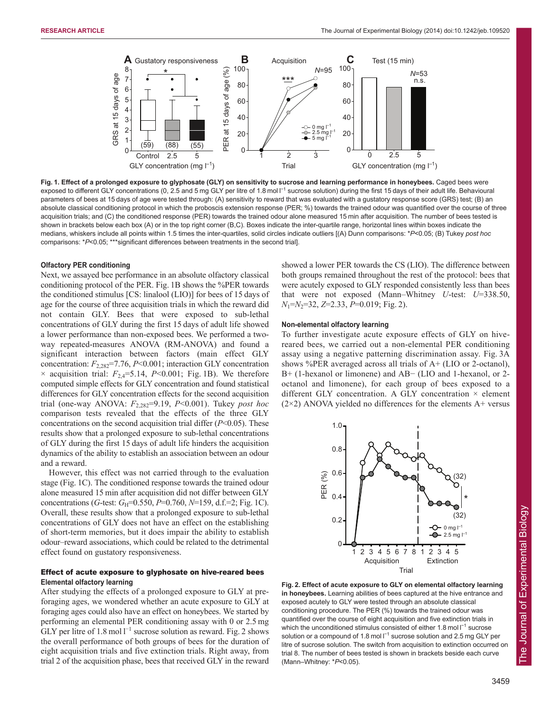

**Fig. 1. Effect of a prolonged exposure to glyphosate (GLY) on sensitivity to sucrose and learning performance in honeybees.** Caged bees were exposed to different GLY concentrations (0, 2.5 and 5 mg GLY per litre of 1.8 mol l<sup>-1</sup> sucrose solution) during the first 15 days of their adult life. Behavioural parameters of bees at 15 days of age were tested through: (A) sensitivity to reward that was evaluated with a gustatory response score (GRS) test; (B) an absolute classical conditioning protocol in which the proboscis extension response (PER; %) towards the trained odour was quantified over the course of three acquisition trials; and (C) the conditioned response (PER) towards the trained odour alone measured 15 min after acquisition. The number of bees tested is shown in brackets below each box (A) or in the top right corner (B,C). Boxes indicate the inter-quartile range, horizontal lines within boxes indicate the medians, whiskers include all points within 1.5 times the inter-quartiles, solid circles indicate outliers [(A) Dunn comparisons: \**P*<0.05; (B) Tukey *post hoc* comparisons: \**P*<0.05; \*\*\*significant differences between treatments in the second trial].

#### **Olfactory PER conditioning**

Next, we assayed bee performance in an absolute olfactory classical conditioning protocol of the PER. Fig. 1B shows the %PER towards the conditioned stimulus [CS: linalool (LIO)] for bees of 15 days of age for the course of three acquisition trials in which the reward did not contain GLY. Bees that were exposed to sub-lethal concentrations of GLY during the first 15 days of adult life showed a lower performance than non-exposed bees. We performed a twoway repeated-measures ANOVA (RM-ANOVA) and found a significant interaction between factors (main effect GLY concentration: *F*2,282=7.76, *P*<0.001; interaction GLY concentration  $\times$  acquisition trial:  $F_{2,4}$ =5.14, *P*<0.001; Fig. 1B). We therefore computed simple effects for GLY concentration and found statistical differences for GLY concentration effects for the second acquisition trial (one-way ANOVA: *F*2,282=9.19, *P*<0.001). Tukey *post hoc* comparison tests revealed that the effects of the three GLY concentrations on the second acquisition trial differ (*P*<0.05). These results show that a prolonged exposure to sub-lethal concentrations of GLY during the first 15 days of adult life hinders the acquisition dynamics of the ability to establish an association between an odour and a reward.

However, this effect was not carried through to the evaluation stage (Fig. 1C). The conditioned response towards the trained odour alone measured 15 min after acquisition did not differ between GLY concentrations (*G*-test: *G*<sub>H</sub>=0.550, *P*=0.760, *N*=159, d.f.=2; Fig. 1C). Overall, these results show that a prolonged exposure to sub-lethal concentrations of GLY does not have an effect on the establishing of short-term memories, but it does impair the ability to establish odour–reward associations, which could be related to the detrimental effect found on gustatory responsiveness.

## Effect of acute exposure to glyphosate on hive-reared bees **Elemental olfactory learning**

After studying the effects of a prolonged exposure to GLY at preforaging ages, we wondered whether an acute exposure to GLY at foraging ages could also have an effect on honeybees. We started by performing an elemental PER conditioning assay with 0 or 2.5 mg GLY per litre of 1.8 mol  $l^{-1}$  sucrose solution as reward. Fig. 2 shows the overall performance of both groups of bees for the duration of eight acquisition trials and five extinction trials. Right away, from trial 2 of the acquisition phase, bees that received GLY in the reward

showed a lower PER towards the CS (LIO). The difference between both groups remained throughout the rest of the protocol: bees that were acutely exposed to GLY responded consistently less than bees that were not exposed (Mann–Whitney *U*-test: *U*=338.50, *N*1=*N*2=32, *Z*=2.33, *P*=0.019; Fig. 2).

## **Non-elemental olfactory learning**

To further investigate acute exposure effects of GLY on hivereared bees, we carried out a non-elemental PER conditioning assay using a negative patterning discrimination assay. Fig. 3A shows %PER averaged across all trials of A+ (LIO or 2-octanol), B+ (1-hexanol or limonene) and AB− (LIO and 1-hexanol, or 2 octanol and limonene), for each group of bees exposed to a different GLY concentration. A GLY concentration  $\times$  element  $(2\times2)$  ANOVA yielded no differences for the elements A+ versus



**Fig. 2. Effect of acute exposure to GLY on elemental olfactory learning in honeybees.** Learning abilities of bees captured at the hive entrance and exposed acutely to GLY were tested through an absolute classical conditioning procedure. The PER (%) towards the trained odour was quantified over the course of eight acquisition and five extinction trials in which the unconditioned stimulus consisted of either 1.8 mol I<sup>-1</sup> sucrose solution or a compound of 1.8 mol  $I^{-1}$  sucrose solution and 2.5 mg GLY per litre of sucrose solution. The switch from acquisition to extinction occurred on trial 8. The number of bees tested is shown in brackets beside each curve (Mann–Whitney: \**P*<0.05).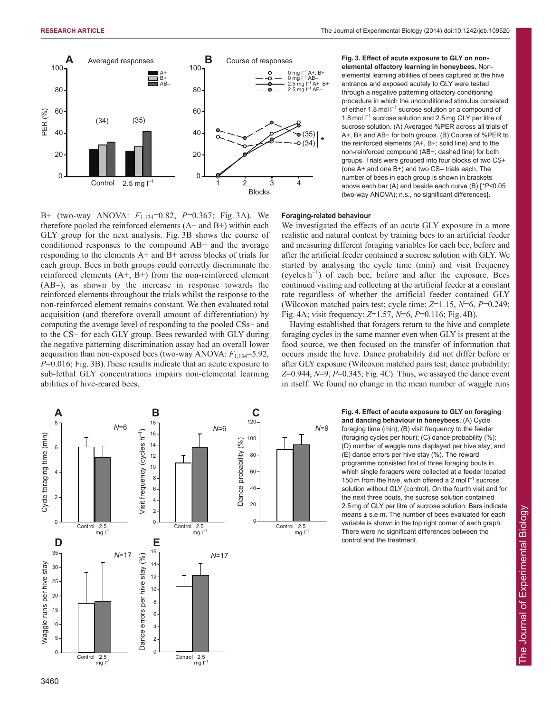

B+ (two-way ANOVA: *F*1,134=0.82, *P*=0.367; Fig. 3A). We therefore pooled the reinforced elements  $(A+$  and  $B+$ ) within each GLY group for the next analysis. Fig. 3B shows the course of conditioned responses to the compound AB− and the average responding to the elements A+ and B+ across blocks of trials for each group. Bees in both groups could correctly discriminate the reinforced elements  $(A+, B+)$  from the non-reinforced element (AB–), as shown by the increase in response towards the reinforced elements throughout the trials whilst the response to the non-reinforced element remains constant. We then evaluated total acquisition (and therefore overall amount of differentiation) by computing the average level of responding to the pooled CSs+ and to the CS− for each GLY group. Bees rewarded with GLY during the negative patterning discrimination assay had an overall lower acquisition than non-exposed bees (two-way ANOVA:  $F_{1,134}=5.92$ , *P*=0.016; Fig. 3B).These results indicate that an acute exposure to sub-lethal GLY concentrations impairs non-elemental learning abilities of hive-reared bees.

**Fig. 3. Effect of acute exposure to GLY on nonelemental olfactory learning in honeybees.** Nonelemental learning abilities of bees captured at the hive entrance and exposed acutely to GLY were tested through a negative patterning olfactory conditioning procedure in which the unconditioned stimulus consisted of either 1.8 mol  $I^{-1}$  sucrose solution or a compound of 1.8 mol l<sup>-1</sup> sucrose solution and 2.5 mg GLY per litre of sucrose solution. (A) Averaged %PER across all trials of A+, B+ and AB− for both groups. (B) Course of %PER to the reinforced elements (A+, B+; solid line) and to the non-reinforced compound (AB−; dashed line) for both groups. Trials were grouped into four blocks of two CS+ (one A+ and one B+) and two CS– trials each. The number of bees in each group is shown in brackets above each bar (A) and beside each curve (B) [*\*P<*0.05 (two-way ANOVA); n.s., no significant differences].

#### **Foraging-related behaviour**

We investigated the effects of an acute GLY exposure in a more realistic and natural context by training bees to an artificial feeder and measuring different foraging variables for each bee, before and after the artificial feeder contained a sucrose solution with GLY. We started by analysing the cycle time (min) and visit frequency (cycles h<sup>−</sup><sup>1</sup> ) of each bee, before and after the exposure. Bees continued visiting and collecting at the artificial feeder at a constant rate regardless of whether the artificial feeder contained GLY (Wilcoxon matched pairs test; cycle time: *Z*=1.15, *N*=6, *P*=0.249; Fig. 4A; visit frequency: *Z*=1.57, *N*=6, *P*=0.116; Fig. 4B).

Having established that foragers return to the hive and complete foraging cycles in the same manner even when GLY is present at the food source, we then focused on the transfer of information that occurs inside the hive. Dance probability did not differ before or after GLY exposure (Wilcoxon matched pairs test; dance probability: *Z*=0.944, *N*=9, *P*=0.345; Fig. 4C). Thus, we assayed the dance event in itself. We found no change in the mean number of waggle runs



**Fig. 4. Effect of acute exposure to GLY on foraging and dancing behaviour in honeybees.** (A) Cycle foraging time (min); (B) visit frequency to the feeder (foraging cycles per hour); (C) dance probability (%); (D) number of waggle runs displayed per hive stay; and (E) dance errors per hive stay (%). The reward programme consisted first of three foraging bouts in which single foragers were collected at a feeder located 150 m from the hive, which offered a 2 mol I<sup>-1</sup> sucrose solution without GLY (control). On the fourth visit and for the next three bouts, the sucrose solution contained 2.5 mg of GLY per litre of sucrose solution. Bars indicate means ± s.e.m. The number of bees evaluated for each variable is shown in the top right corner of each graph. There were no significant differences between the control and the treatment.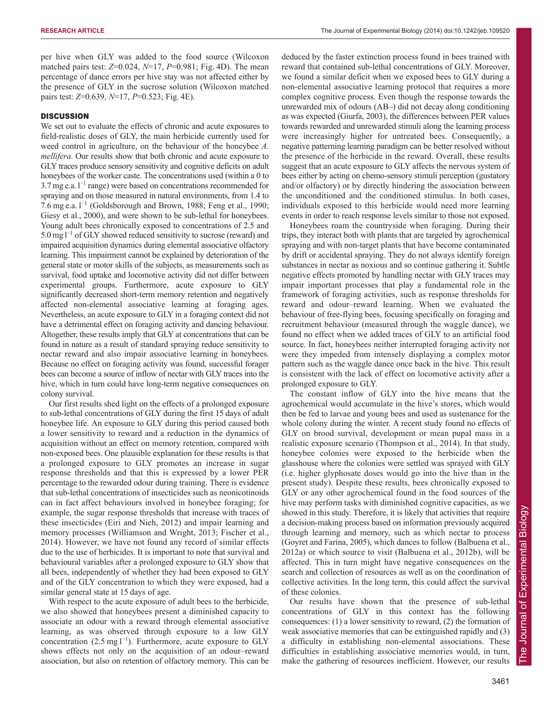per hive when GLY was added to the food source (Wilcoxon matched pairs test: *Z*=0.024, *N*=17, *P*=0.981; Fig. 4D). The mean percentage of dance errors per hive stay was not affected either by the presence of GLY in the sucrose solution (Wilcoxon matched pairs test: *Z*=0.639, *N*=17, *P*=0.523; Fig. 4E).

## **DISCUSSION**

We set out to evaluate the effects of chronic and acute exposures to field-realistic doses of GLY, the main herbicide currently used for weed control in agriculture, on the behaviour of the honeybee *A. mellifera*. Our results show that both chronic and acute exposure to GLY traces produce sensory sensitivity and cognitive deficits on adult honeybees of the worker caste. The concentrations used (within a 0 to  $3.7$  mg e.a.  $l^{-1}$  range) were based on concentrations recommended for spraying and on those measured in natural environments, from 1.4 to 7.6 mg e.a. l<sup>-1</sup> (Goldsborough and Brown, 1988; Feng et al., 1990; Giesy et al., 2000), and were shown to be sub-lethal for honeybees. Young adult bees chronically exposed to concentrations of 2.5 and 5.0 mg l<sup>-1</sup> of GLY showed reduced sensitivity to sucrose (reward) and impaired acquisition dynamics during elemental associative olfactory learning. This impairment cannot be explained by deterioration of the general state or motor skills of the subjects, as measurements such as survival, food uptake and locomotive activity did not differ between experimental groups. Furthermore, acute exposure to GLY significantly decreased short-term memory retention and negatively affected non-elemental associative learning at foraging ages. Nevertheless, an acute exposure to GLY in a foraging context did not have a detrimental effect on foraging activity and dancing behaviour. Altogether, these results imply that GLY at concentrations that can be found in nature as a result of standard spraying reduce sensitivity to nectar reward and also impair associative learning in honeybees. Because no effect on foraging activity was found, successful forager bees can become a source of inflow of nectar with GLY traces into the hive, which in turn could have long-term negative consequences on colony survival.

Our first results shed light on the effects of a prolonged exposure to sub-lethal concentrations of GLY during the first 15 days of adult honeybee life. An exposure to GLY during this period caused both a lower sensitivity to reward and a reduction in the dynamics of acquisition without an effect on memory retention, compared with non-exposed bees. One plausible explanation for these results is that a prolonged exposure to GLY promotes an increase in sugar response thresholds and that this is expressed by a lower PER percentage to the rewarded odour during training. There is evidence that sub-lethal concentrations of insecticides such as neonicotinoids can in fact affect behaviours involved in honeybee foraging; for example, the sugar response thresholds that increase with traces of these insecticides (Eiri and Nieh, 2012) and impair learning and memory processes (Williamson and Wright, 2013; Fischer et al., 2014). However, we have not found any record of similar effects due to the use of herbicides. It is important to note that survival and behavioural variables after a prolonged exposure to GLY show that all bees, independently of whether they had been exposed to GLY and of the GLY concentration to which they were exposed, had a similar general state at 15 days of age.

With respect to the acute exposure of adult bees to the herbicide, we also showed that honeybees present a diminished capacity to associate an odour with a reward through elemental associative learning, as was observed through exposure to a low GLY concentration  $(2.5 \text{ mg l}^{-1})$ . Furthermore, acute exposure to GLY shows effects not only on the acquisition of an odour–reward association, but also on retention of olfactory memory. This can be deduced by the faster extinction process found in bees trained with reward that contained sub-lethal concentrations of GLY. Moreover, we found a similar deficit when we exposed bees to GLY during a non-elemental associative learning protocol that requires a more complex cognitive process. Even though the response towards the unrewarded mix of odours (AB–) did not decay along conditioning as was expected (Giurfa, 2003), the differences between PER values towards rewarded and unrewarded stimuli along the learning process were increasingly higher for untreated bees. Consequently, a negative patterning learning paradigm can be better resolved without the presence of the herbicide in the reward. Overall, these results suggest that an acute exposure to GLY affects the nervous system of bees either by acting on chemo-sensory stimuli perception (gustatory and/or olfactory) or by directly hindering the association between the unconditioned and the conditioned stimulus. In both cases, individuals exposed to this herbicide would need more learning events in order to reach response levels similar to those not exposed.

Honeybees roam the countryside when foraging. During their trips, they interact both with plants that are targeted by agrochemical spraying and with non-target plants that have become contaminated by drift or accidental spraying. They do not always identify foreign substances in nectar as noxious and so continue gathering it. Subtle negative effects promoted by handling nectar with GLY traces may impair important processes that play a fundamental role in the framework of foraging activities, such as response thresholds for reward and odour–reward learning. When we evaluated the behaviour of free-flying bees, focusing specifically on foraging and recruitment behaviour (measured through the waggle dance), we found no effect when we added traces of GLY to an artificial food source. In fact, honeybees neither interrupted foraging activity nor were they impeded from intensely displaying a complex motor pattern such as the waggle dance once back in the hive. This result is consistent with the lack of effect on locomotive activity after a prolonged exposure to GLY.

The constant inflow of GLY into the hive means that the agrochemical would accumulate in the hive's stores, which would then be fed to larvae and young bees and used as sustenance for the whole colony during the winter. A recent study found no effects of GLY on brood survival, development or mean pupal mass in a realistic exposure scenario (Thompson et al., 2014). In that study, honeybee colonies were exposed to the herbicide when the glasshouse where the colonies were settled was sprayed with GLY (i.e. higher glyphosate doses would go into the hive than in the present study). Despite these results, bees chronically exposed to GLY or any other agrochemical found in the food sources of the hive may perform tasks with diminished cognitive capacities, as we showed in this study. Therefore, it is likely that activities that require a decision-making process based on information previously acquired through learning and memory, such as which nectar to process (Goyret and Farina, 2005), which dances to follow (Balbuena et al., 2012a) or which source to visit (Balbuena et al., 2012b), will be affected. This in turn might have negative consequences on the search and collection of resources as well as on the coordination of collective activities. In the long term, this could affect the survival of these colonies.

Our results have shown that the presence of sub-lethal concentrations of GLY in this context has the following consequences: (1) a lower sensitivity to reward, (2) the formation of weak associative memories that can be extinguished rapidly and (3) a difficulty in establishing non-elemental associations. These difficulties in establishing associative memories would, in turn, make the gathering of resources inefficient. However, our results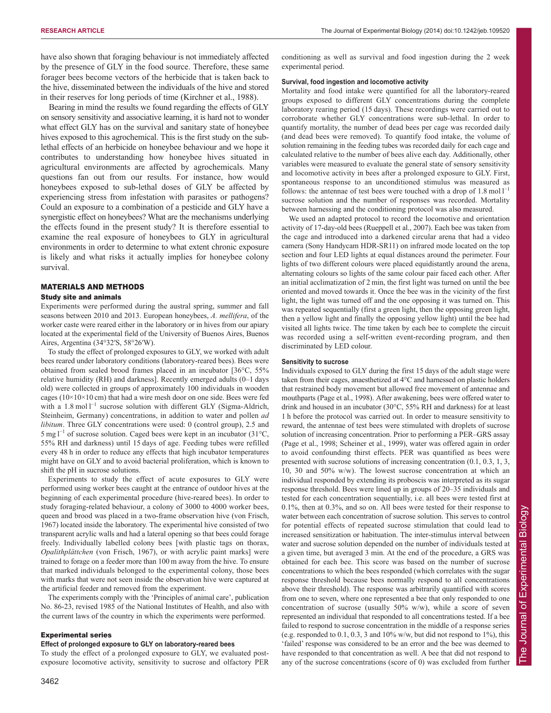have also shown that foraging behaviour is not immediately affected by the presence of GLY in the food source. Therefore, these same forager bees become vectors of the herbicide that is taken back to the hive, disseminated between the individuals of the hive and stored in their reserves for long periods of time (Kirchner et al., 1988).

Bearing in mind the results we found regarding the effects of GLY on sensory sensitivity and associative learning, it is hard not to wonder what effect GLY has on the survival and sanitary state of honeybee hives exposed to this agrochemical. This is the first study on the sublethal effects of an herbicide on honeybee behaviour and we hope it contributes to understanding how honeybee hives situated in agricultural environments are affected by agrochemicals. Many questions fan out from our results. For instance, how would honeybees exposed to sub-lethal doses of GLY be affected by experiencing stress from infestation with parasites or pathogens? Could an exposure to a combination of a pesticide and GLY have a synergistic effect on honeybees? What are the mechanisms underlying the effects found in the present study? It is therefore essential to examine the real exposure of honeybees to GLY in agricultural environments in order to determine to what extent chronic exposure is likely and what risks it actually implies for honeybee colony survival.

#### MATERIALS AND METHODS

## Study site and animals

Experiments were performed during the austral spring, summer and fall seasons between 2010 and 2013. European honeybees, *A. mellifera*, of the worker caste were reared either in the laboratory or in hives from our apiary located at the experimental field of the University of Buenos Aires, Buenos Aires, Argentina (34°32′S, 58°26′W).

To study the effect of prolonged exposures to GLY, we worked with adult bees reared under laboratory conditions (laboratory-reared bees). Bees were obtained from sealed brood frames placed in an incubator [36°C, 55% relative humidity (RH) and darkness]. Recently emerged adults (0–1 days old) were collected in groups of approximately 100 individuals in wooden cages ( $10\times10\times10$  cm) that had a wire mesh door on one side. Bees were fed with a 1.8 mol  $l^{-1}$  sucrose solution with different GLY (Sigma-Aldrich, Steinheim, Germany) concentrations, in addition to water and pollen *ad libitum*. Three GLY concentrations were used: 0 (control group), 2.5 and 5 mg  $l^{-1}$  of sucrose solution. Caged bees were kept in an incubator (31°C, 55% RH and darkness) until 15 days of age. Feeding tubes were refilled every 48 h in order to reduce any effects that high incubator temperatures might have on GLY and to avoid bacterial proliferation, which is known to shift the pH in sucrose solutions.

Experiments to study the effect of acute exposures to GLY were performed using worker bees caught at the entrance of outdoor hives at the beginning of each experimental procedure (hive-reared bees). In order to study foraging-related behaviour, a colony of 3000 to 4000 worker bees, queen and brood was placed in a two-frame observation hive (von Frisch, 1967) located inside the laboratory. The experimental hive consisted of two transparent acrylic walls and had a lateral opening so that bees could forage freely. Individually labelled colony bees [with plastic tags on thorax, *Opalithplättchen* (von Frisch, 1967), or with acrylic paint marks] were trained to forage on a feeder more than 100 m away from the hive. To ensure that marked individuals belonged to the experimental colony, those bees with marks that were not seen inside the observation hive were captured at the artificial feeder and removed from the experiment.

The experiments comply with the 'Principles of animal care', publication No. 86-23, revised 1985 of the National Institutes of Health, and also with the current laws of the country in which the experiments were performed.

#### Experimental series

#### **Effect of prolonged exposure to GLY on laboratory-reared bees**

To study the effect of a prolonged exposure to GLY, we evaluated postexposure locomotive activity, sensitivity to sucrose and olfactory PER conditioning as well as survival and food ingestion during the 2 week experimental period.

#### **Survival, food ingestion and locomotive activity**

Mortality and food intake were quantified for all the laboratory-reared groups exposed to different GLY concentrations during the complete laboratory rearing period (15 days). These recordings were carried out to corroborate whether GLY concentrations were sub-lethal. In order to quantify mortality, the number of dead bees per cage was recorded daily (and dead bees were removed). To quantify food intake, the volume of solution remaining in the feeding tubes was recorded daily for each cage and calculated relative to the number of bees alive each day. Additionally, other variables were measured to evaluate the general state of sensory sensitivity and locomotive activity in bees after a prolonged exposure to GLY. First, spontaneous response to an unconditioned stimulus was measured as follows: the antennae of test bees were touched with a drop of  $1.8 \text{ mol} \, \text{I}^{-1}$ sucrose solution and the number of responses was recorded. Mortality between harnessing and the conditioning protocol was also measured.

We used an adapted protocol to record the locomotive and orientation activity of 17-day-old bees (Rueppell et al., 2007). Each bee was taken from the cage and introduced into a darkened circular arena that had a video camera (Sony Handycam HDR-SR11) on infrared mode located on the top section and four LED lights at equal distances around the perimeter. Four lights of two different colours were placed equidistantly around the arena, alternating colours so lights of the same colour pair faced each other. After an initial acclimatization of 2 min, the first light was turned on until the bee oriented and moved towards it. Once the bee was in the vicinity of the first light, the light was turned off and the one opposing it was turned on. This was repeated sequentially (first a green light, then the opposing green light, then a yellow light and finally the opposing yellow light) until the bee had visited all lights twice. The time taken by each bee to complete the circuit was recorded using a self-written event-recording program, and then discriminated by LED colour.

## **Sensitivity to sucrose**

Individuals exposed to GLY during the first 15 days of the adult stage were taken from their cages, anaesthetized at 4°C and harnessed on plastic holders that restrained body movement but allowed free movement of antennae and mouthparts (Page et al., 1998). After awakening, bees were offered water to drink and housed in an incubator (30°C, 55% RH and darkness) for at least 1 h before the protocol was carried out. In order to measure sensitivity to reward, the antennae of test bees were stimulated with droplets of sucrose solution of increasing concentration. Prior to performing a PER–GRS assay (Page et al., 1998; Scheiner et al., 1999), water was offered again in order to avoid confounding thirst effects. PER was quantified as bees were presented with sucrose solutions of increasing concentration (0.1, 0.3, 1, 3, 10, 30 and 50% w/w). The lowest sucrose concentration at which an individual responded by extending its proboscis was interpreted as its sugar response threshold. Bees were lined up in groups of 20–35 individuals and tested for each concentration sequentially, i.e. all bees were tested first at 0.1%, then at 0.3%, and so on. All bees were tested for their response to water between each concentration of sucrose solution. This serves to control for potential effects of repeated sucrose stimulation that could lead to increased sensitization or habituation. The inter-stimulus interval between water and sucrose solution depended on the number of individuals tested at a given time, but averaged 3 min. At the end of the procedure, a GRS was obtained for each bee. This score was based on the number of sucrose concentrations to which the bees responded (which correlates with the sugar response threshold because bees normally respond to all concentrations above their threshold). The response was arbitrarily quantified with scores from one to seven, where one represented a bee that only responded to one concentration of sucrose (usually 50% w/w), while a score of seven represented an individual that responded to all concentrations tested. If a bee failed to respond to sucrose concentration in the middle of a response series (e.g. responded to  $0.1$ ,  $0.3$ ,  $3$  and  $10\%$  w/w, but did not respond to  $1\%$ ), this 'failed' response was considered to be an error and the bee was deemed to have responded to that concentration as well. A bee that did not respond to any of the sucrose concentrations (score of 0) was excluded from further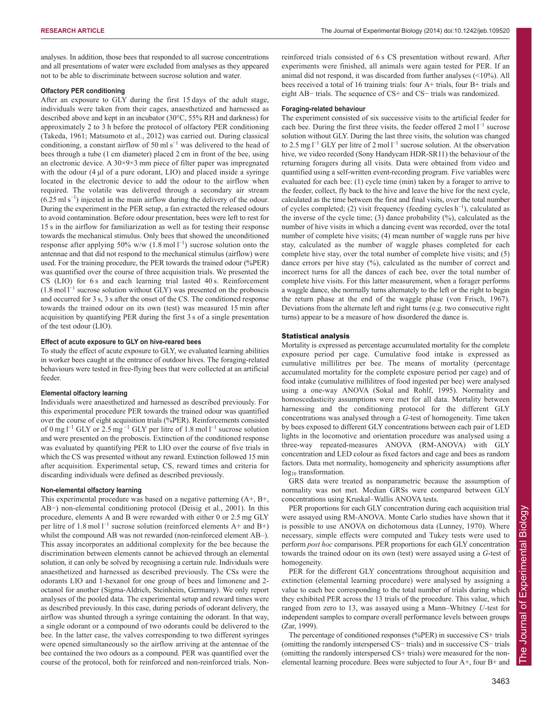analyses. In addition, those bees that responded to all sucrose concentrations and all presentations of water were excluded from analyses as they appeared not to be able to discriminate between sucrose solution and water.

## **Olfactory PER conditioning**

After an exposure to GLY during the first 15 days of the adult stage, individuals were taken from their cages, anaesthetized and harnessed as described above and kept in an incubator (30°C, 55% RH and darkness) for approximately 2 to 3 h before the protocol of olfactory PER conditioning (Takeda, 1961; Matsumoto et al., 2012) was carried out. During classical conditioning, a constant airflow of 50 ml s<sup> $-1$ </sup> was delivered to the head of bees through a tube (1 cm diameter) placed 2 cm in front of the bee, using an electronic device. A 30×9×3 mm piece of filter paper was impregnated with the odour (4 μl of a pure odorant, LIO) and placed inside a syringe located in the electronic device to add the odour to the airflow when required. The volatile was delivered through a secondary air stream (6.25 ml s<sup>−</sup><sup>1</sup> ) injected in the main airflow during the delivery of the odour. During the experiment in the PER setup, a fan extracted the released odours to avoid contamination. Before odour presentation, bees were left to rest for 15 s in the airflow for familiarization as well as for testing their response towards the mechanical stimulus. Only bees that showed the unconditioned response after applying 50% w/w  $(1.8 \text{ mol} l^{-1})$  sucrose solution onto the antennae and that did not respond to the mechanical stimulus (airflow) were used. For the training procedure, the PER towards the trained odour (%PER) was quantified over the course of three acquisition trials. We presented the CS (LIO) for 6 s and each learning trial lasted 40 s. Reinforcement  $(1.8 \text{ mol} \, \text{m}^{-1})$  sucrose solution without GLY) was presented on the proboscis and occurred for 3 s, 3 s after the onset of the CS. The conditioned response towards the trained odour on its own (test) was measured 15 min after acquisition by quantifying PER during the first 3 s of a single presentation of the test odour (LIO).

## **Effect of acute exposure to GLY on hive-reared bees**

To study the effect of acute exposure to GLY, we evaluated learning abilities in worker bees caught at the entrance of outdoor hives. The foraging-related behaviours were tested in free-flying bees that were collected at an artificial feeder.

#### **Elemental olfactory learning**

Individuals were anaesthetized and harnessed as described previously. For this experimental procedure PER towards the trained odour was quantified over the course of eight acquisition trials (%PER). Reinforcements consisted of 0 mg  $l^{-1}$  GLY or 2.5 mg<sup>-1</sup> GLY per litre of 1.8 mol  $l^{-1}$  sucrose solution and were presented on the proboscis. Extinction of the conditioned response was evaluated by quantifying PER to LIO over the course of five trials in which the CS was presented without any reward. Extinction followed 15 min after acquisition. Experimental setup, CS, reward times and criteria for discarding individuals were defined as described previously.

### **Non-elemental olfactory learning**

This experimental procedure was based on a negative patterning (A+, B+, AB−) non-elemental conditioning protocol (Deisig et al., 2001). In this procedure, elements A and B were rewarded with either 0 or 2.5 mg GLY per litre of 1.8 mol  $l^{-1}$  sucrose solution (reinforced elements A+ and B+) whilst the compound AB was not rewarded (non-reinforced element AB–). This assay incorporates an additional complexity for the bee because the discrimination between elements cannot be achieved through an elemental solution, it can only be solved by recognising a certain rule. Individuals were anaesthetized and harnessed as described previously. The CSs were the odorants LIO and 1-hexanol for one group of bees and limonene and 2 octanol for another (Sigma-Aldrich, Steinheim, Germany). We only report analyses of the pooled data. The experimental setup and reward times were as described previously. In this case, during periods of odorant delivery, the airflow was shunted through a syringe containing the odorant. In that way, a single odorant or a compound of two odorants could be delivered to the bee. In the latter case, the valves corresponding to two different syringes were opened simultaneously so the airflow arriving at the antennae of the bee contained the two odours as a compound. PER was quantified over the course of the protocol, both for reinforced and non-reinforced trials. Nonreinforced trials consisted of 6 s CS presentation without reward. After experiments were finished, all animals were again tested for PER. If an animal did not respond, it was discarded from further analyses (<10%). All bees received a total of 16 training trials: four A+ trials, four B+ trials and eight AB− trials. The sequence of CS+ and CS− trials was randomized.

#### **Foraging-related behaviour**

The experiment consisted of six successive visits to the artificial feeder for each bee. During the first three visits, the feeder offered  $2 \text{ mol } l^{-1}$  sucrose solution without GLY. During the last three visits, the solution was changed to 2.5 mg  $l^{-1}$  GLY per litre of 2 mol  $l^{-1}$  sucrose solution. At the observation hive, we video recorded (Sony Handycam HDR-SR11) the behaviour of the returning foragers during all visits. Data were obtained from video and quantified using a self-written event-recording program. Five variables were evaluated for each bee: (1) cycle time (min) taken by a forager to arrive to the feeder, collect, fly back to the hive and leave the hive for the next cycle, calculated as the time between the first and final visits, over the total number of cycles completed; (2) visit frequency (feeding cycles h<sup>−</sup><sup>1</sup> ), calculated as the inverse of the cycle time; (3) dance probability (%), calculated as the number of hive visits in which a dancing event was recorded, over the total number of complete hive visits; (4) mean number of waggle runs per hive stay, calculated as the number of waggle phases completed for each complete hive stay, over the total number of complete hive visits; and (5) dance errors per hive stay (%), calculated as the number of correct and incorrect turns for all the dances of each bee, over the total number of complete hive visits. For this latter measurement, when a forager performs a waggle dance, she normally turns alternately to the left or the right to begin the return phase at the end of the waggle phase (von Frisch, 1967). Deviations from the alternate left and right turns (e.g. two consecutive right turns) appear to be a measure of how disordered the dance is.

#### Statistical analysis

Mortality is expressed as percentage accumulated mortality for the complete exposure period per cage. Cumulative food intake is expressed as cumulative millilitres per bee. The means of mortality (percentage accumulated mortality for the complete exposure period per cage) and of food intake (cumulative millilitres of food ingested per bee) were analysed using a one-way ANOVA (Sokal and Rohlf, 1995). Normality and homoscedasticity assumptions were met for all data. Mortality between harnessing and the conditioning protocol for the different GLY concentrations was analysed through a *G-*test of homogeneity. Time taken by bees exposed to different GLY concentrations between each pair of LED lights in the locomotive and orientation procedure was analysed using a three-way repeated-measures ANOVA (RM-ANOVA) with GLY concentration and LED colour as fixed factors and cage and bees as random factors. Data met normality, homogeneity and sphericity assumptions after log<sub>10</sub> transformation.

GRS data were treated as nonparametric because the assumption of normality was not met. Median GRSs were compared between GLY concentrations using Kruskal–Wallis ANOVA tests.

PER proportions for each GLY concentration during each acquisition trial were assayed using RM-ANOVA. Monte Carlo studies have shown that it is possible to use ANOVA on dichotomous data (Lunney, 1970). Where necessary, simple effects were computed and Tukey tests were used to perform *post hoc* comparisons. PER proportions for each GLY concentration towards the trained odour on its own (test) were assayed using a *G*-test of homogeneity.

PER for the different GLY concentrations throughout acquisition and extinction (elemental learning procedure) were analysed by assigning a value to each bee corresponding to the total number of trials during which they exhibited PER across the 13 trials of the procedure. This value, which ranged from zero to 13, was assayed using a Mann–Whitney *U-*test for independent samples to compare overall performance levels between groups (Zar, 1999).

The percentage of conditioned responses (%PER) in successive CS+ trials (omitting the randomly interspersed CS− trials) and in successive CS− trials (omitting the randomly interspersed CS+ trials) were measured for the nonelemental learning procedure. Bees were subjected to four A+, four B+ and